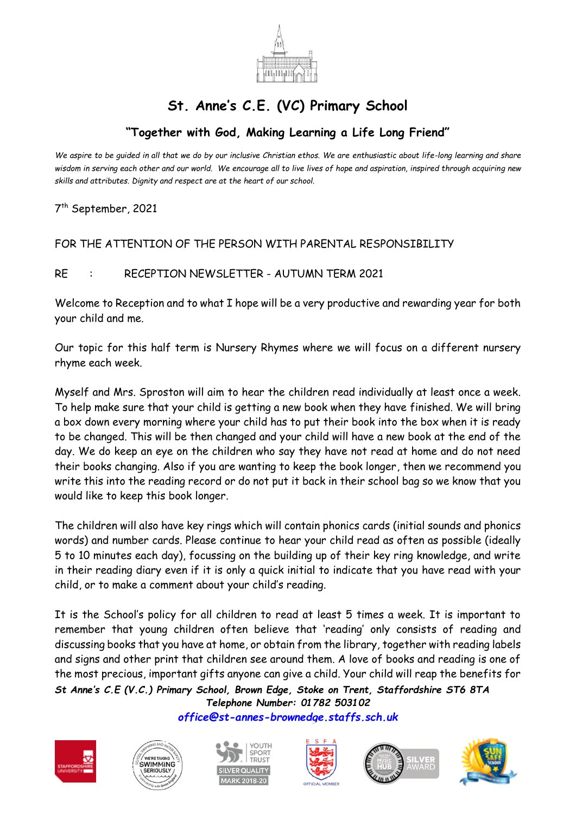

## **St. Anne's C.E. (VC) Primary School**

## **"Together with God, Making Learning a Life Long Friend"**

*We aspire to be guided in all that we do by our inclusive Christian ethos. We are enthusiastic about life-long learning and share wisdom in serving each other and our world. We encourage all to live lives of hope and aspiration, inspired through acquiring new skills and attributes. Dignity and respect are at the heart of our school.*

7 th September, 2021

## FOR THE ATTENTION OF THE PERSON WITH PARENTAL RESPONSIBILITY

RE : RECEPTION NEWSLETTER - AUTUMN TERM 2021

Welcome to Reception and to what I hope will be a very productive and rewarding year for both your child and me.

Our topic for this half term is Nursery Rhymes where we will focus on a different nursery rhyme each week.

Myself and Mrs. Sproston will aim to hear the children read individually at least once a week. To help make sure that your child is getting a new book when they have finished. We will bring a box down every morning where your child has to put their book into the box when it is ready to be changed. This will be then changed and your child will have a new book at the end of the day. We do keep an eye on the children who say they have not read at home and do not need their books changing. Also if you are wanting to keep the book longer, then we recommend you write this into the reading record or do not put it back in their school bag so we know that you would like to keep this book longer.

The children will also have key rings which will contain phonics cards (initial sounds and phonics words) and number cards. Please continue to hear your child read as often as possible (ideally 5 to 10 minutes each day), focussing on the building up of their key ring knowledge, and write in their reading diary even if it is only a quick initial to indicate that you have read with your child, or to make a comment about your child's reading.

*St Anne's C.E (V.C.) Primary School, Brown Edge, Stoke on Trent, Staffordshire ST6 8TA* It is the School's policy for all children to read at least 5 times a week. It is important to remember that young children often believe that 'reading' only consists of reading and discussing books that you have at home, or obtain from the library, together with reading labels and signs and other print that children see around them. A love of books and reading is one of the most precious, important gifts anyone can give a child. Your child will reap the benefits for

*Telephone Number: 01782 503102 [office@st-annes-brownedge.staffs.sch.uk](mailto:office@st-annes-brownedge.staffs.sch.uk)*











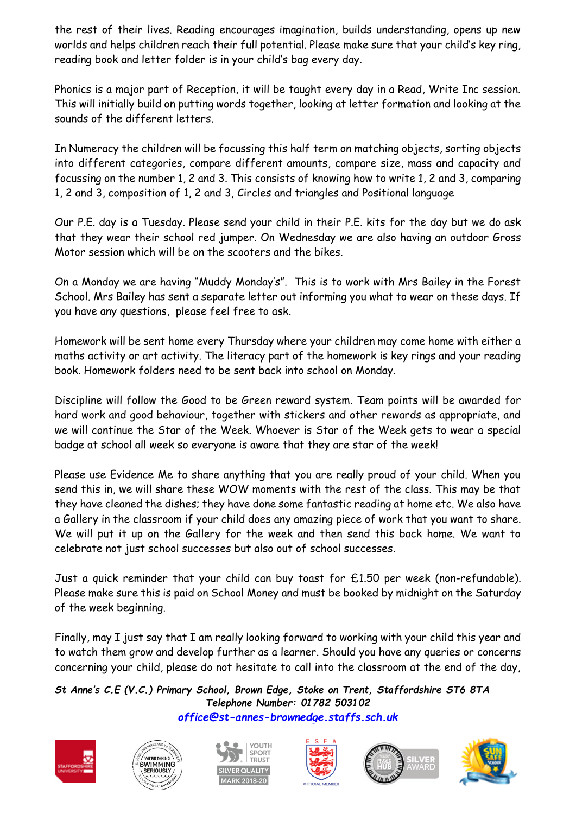the rest of their lives. Reading encourages imagination, builds understanding, opens up new worlds and helps children reach their full potential. Please make sure that your child's key ring, reading book and letter folder is in your child's bag every day.

Phonics is a major part of Reception, it will be taught every day in a Read, Write Inc session. This will initially build on putting words together, looking at letter formation and looking at the sounds of the different letters.

In Numeracy the children will be focussing this half term on matching objects, sorting objects into different categories, compare different amounts, compare size, mass and capacity and focussing on the number 1, 2 and 3. This consists of knowing how to write 1, 2 and 3, comparing 1, 2 and 3, composition of 1, 2 and 3, Circles and triangles and Positional language

Our P.E. day is a Tuesday. Please send your child in their P.E. kits for the day but we do ask that they wear their school red jumper. On Wednesday we are also having an outdoor Gross Motor session which will be on the scooters and the bikes.

On a Monday we are having "Muddy Monday's". This is to work with Mrs Bailey in the Forest School. Mrs Bailey has sent a separate letter out informing you what to wear on these days. If you have any questions, please feel free to ask.

Homework will be sent home every Thursday where your children may come home with either a maths activity or art activity. The literacy part of the homework is key rings and your reading book. Homework folders need to be sent back into school on Monday.

Discipline will follow the Good to be Green reward system. Team points will be awarded for hard work and good behaviour, together with stickers and other rewards as appropriate, and we will continue the Star of the Week. Whoever is Star of the Week gets to wear a special badge at school all week so everyone is aware that they are star of the week!

Please use Evidence Me to share anything that you are really proud of your child. When you send this in, we will share these WOW moments with the rest of the class. This may be that they have cleaned the dishes; they have done some fantastic reading at home etc. We also have a Gallery in the classroom if your child does any amazing piece of work that you want to share. We will put it up on the Gallery for the week and then send this back home. We want to celebrate not just school successes but also out of school successes.

Just a quick reminder that your child can buy toast for £1.50 per week (non-refundable). Please make sure this is paid on School Money and must be booked by midnight on the Saturday of the week beginning.

Finally, may I just say that I am really looking forward to working with your child this year and to watch them grow and develop further as a learner. Should you have any queries or concerns concerning your child, please do not hesitate to call into the classroom at the end of the day,

*St Anne's C.E (V.C.) Primary School, Brown Edge, Stoke on Trent, Staffordshire ST6 8TA Telephone Number: 01782 503102 [office@st-annes-brownedge.staffs.sch.uk](mailto:office@st-annes-brownedge.staffs.sch.uk)*